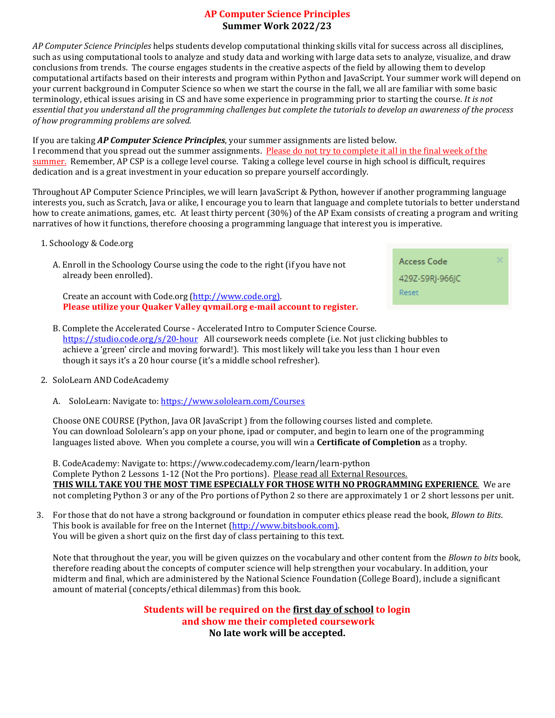### **AP Computer Science Principles Summer Work 2022/23**

*AP Computer Science Principles* helps students develop computational thinking skills vital for success across all disciplines, such as using computational tools to analyze and study data and working with large data sets to analyze, visualize, and draw conclusions from trends. The course engages students in the creative aspects of the field by allowing them to develop computational artifacts based on their interests and program within Python and JavaScript. Your summer work will depend on your current background in Computer Science so when we start the course in the fall, we all are familiar with some basic terminology, ethical issues arising in CS and have some experience in programming prior to starting the course. *It is not essential that you understand all the programming challenges but complete the tutorials to develop an awareness of the process of how programming problems are solved.*

#### If you are taking *AP Computer Science Principles*, your summer assignments are listed below.

I recommend that you spread out the summer assignments. Please do not try to complete it all in the final week of the summer. Remember, AP CSP is a college level course. Taking a college level course in high school is difficult, requires dedication and is a great investment in your education so prepare yourself accordingly.

Throughout AP Computer Science Principles, we will learn JavaScript & Python, however if another programming language interests you, such as Scratch, Java or alike, I encourage you to learn that language and complete tutorials to better understand how to create animations, games, etc. At least thirty percent (30%) of the AP Exam consists of creating a program and writing narratives of how it functions, therefore choosing a programming language that interest you is imperative.

#### 1. Schoology & Code.org

| A. Enroll in the Schoology Course using the code to the right (if you have not |
|--------------------------------------------------------------------------------|
| already been enrolled).                                                        |

 Create an account with Code.org [\(http://www.code.org\).](http://www.code.org)/)  **Please utilize your Quaker Valley qvmail.org e-mail account to register.**

| Access Code     |  |
|-----------------|--|
| 429Z-S9RI-966IC |  |
| Reset           |  |
|                 |  |

B. Complete the Accelerated Course - Accelerated Intro to Computer Science Course. <https://studio.code.org/s/20-hour>All coursework needs complete (i.e. Not just clicking bubbles to achieve a 'green' circle and moving forward!). This most likely will take you less than 1 hour even though it says it's a 20 hour course (it's a middle school refresher).

#### 2. SoloLearn AND CodeAcademy

A. SoloLearn: Navigate to:<https://www.sololearn.com/Courses>

Choose ONE COURSE (Python, Java OR JavaScript ) from the following courses listed and complete. You can download Sololearn's app on your phone, ipad or computer, and begin to learn one of the programming languages listed above. When you complete a course, you will win a **Certificate of Completion** as a trophy.

B. CodeAcademy: Navigate to: https://www.codecademy.com/learn/learn-python Complete Python 2 Lessons 1-12 (Not the Pro portions). Please read all External Resources. **THIS WILL TAKE YOU THE MOST TIME ESPECIALLY FOR THOSE WITH NO PROGRAMMING EXPERIENCE**. We are not completing Python 3 or any of the Pro portions of Python 2 so there are approximately 1 or 2 short lessons per unit.

3. For those that do not have a strong background or foundation in computer ethics please read the book, *Blown to Bits*. This book is available for free on the Internet [\(http://www.bitsbook.com\).](http://www.bitsbook.com)/) You will be given a short quiz on the first day of class pertaining to this text.

Note that throughout the year, you will be given quizzes on the vocabulary and other content from the *Blown to bits* book, therefore reading about the concepts of computer science will help strengthen your vocabulary. In addition, your midterm and final, which are administered by the National Science Foundation (College Board), include a significant amount of material (concepts/ethical dilemmas) from this book.

> **Students will be required on the first day of school to login and show me their completed coursework No late work will be accepted.**